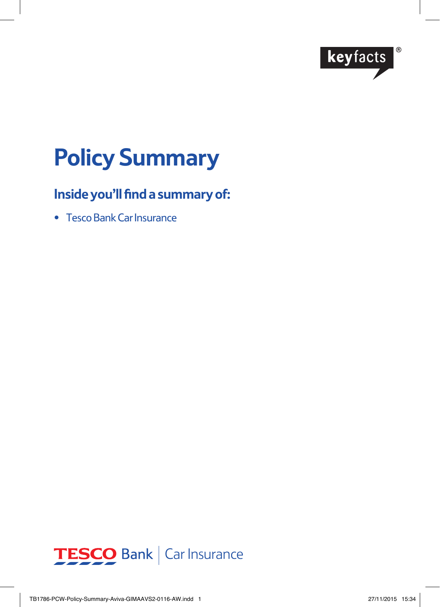

# **Policy Summary**

# **Inside you'll find a summary of:**

• Tesco Bank Car Insurance

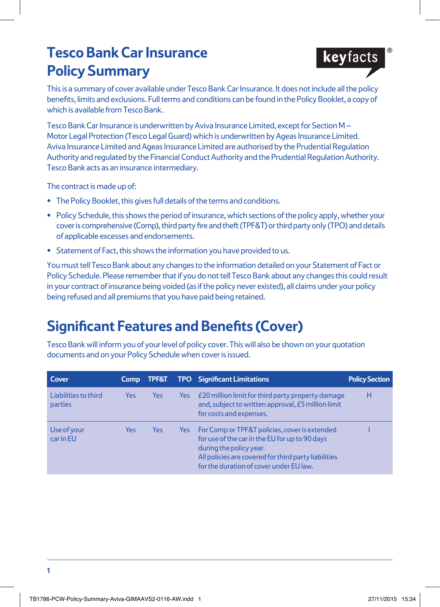# **Tesco Bank Car Insurance Policy Summary**



This is a summary of cover available under Tesco Bank Car Insurance. It does not include all the policy benefits, limits and exclusions. Full terms and conditions can be found in the Policy Booklet, a copy of which is available from Tesco Bank.

Tesco Bank Car Insurance is underwritten by Aviva Insurance Limited, except for Section M – Motor Legal Protection (Tesco Legal Guard) which is underwritten by Ageas Insurance Limited. Aviva Insurance Limited and Ageas Insurance Limited are authorised by the Prudential Regulation Authority and regulated by the Financial Conduct Authority and the Prudential Regulation Authority. Tesco Bank acts as an insurance intermediary.

The contract is made up of:

- **•** The Policy Booklet, this gives full details of the terms and conditions.
- **•** Policy Schedule, this shows the period of insurance, which sections of the policy apply, whether your cover is comprehensive (Comp), third party fire and theft (TPF&T) or third party only (TPO) and details of applicable excesses and endorsements.
- **•** Statement of Fact, this shows the information you have provided to us.

You must tell Tesco Bank about any changes to the information detailed on your Statement of Fact or Policy Schedule. Please remember that if you do not tell Tesco Bank about any changes this could result in your contract of insurance being voided (as if the policy never existed), all claims under your policy being refused and all premiums that you have paid being retained.

# **Significant Features and Benefits (Cover)**

Tesco Bank will inform you of your level of policy cover. This will also be shown on your quotation documents and on your Policy Schedule when cover is issued.

| Cover                           | <b>Comp</b> | <b>TPF&amp;T</b> |      | <b>TPO</b> Significant Limitations                                                                                                                                                                                            | <b>Policy Section</b> |
|---------------------------------|-------------|------------------|------|-------------------------------------------------------------------------------------------------------------------------------------------------------------------------------------------------------------------------------|-----------------------|
| Liabilities to third<br>parties | <b>Yes</b>  | <b>Yes</b>       | Yes: | £20 million limit for third party property damage<br>and, subject to written approval, £5 million limit<br>for costs and expenses.                                                                                            | н                     |
| Use of your<br>car in EU        | Yes         | Yes              | Yes: | For Comp or TPF&T policies, cover is extended<br>for use of the car in the EU for up to 90 days<br>during the policy year.<br>All policies are covered for third party liabilities<br>for the duration of cover under EU law. |                       |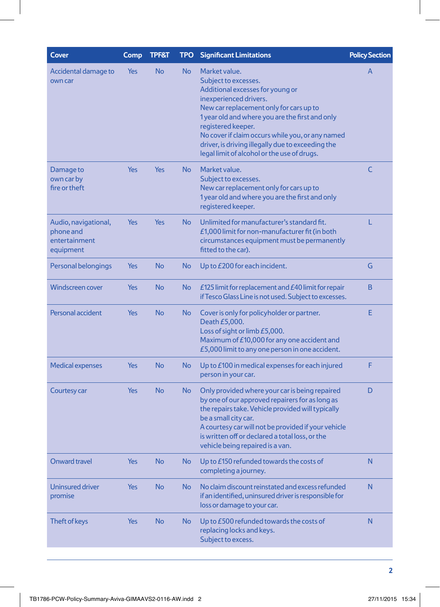| Cover                                                           | Comp       | <b>TPF&amp;T</b> | <b>TPO</b> | <b>Significant Limitations</b>                                                                                                                                                                                                                                                                                                                                                  | <b>Policy Section</b> |
|-----------------------------------------------------------------|------------|------------------|------------|---------------------------------------------------------------------------------------------------------------------------------------------------------------------------------------------------------------------------------------------------------------------------------------------------------------------------------------------------------------------------------|-----------------------|
| Accidental damage to<br>own car                                 | Yes        | <b>No</b>        | No         | Market value.<br>Subject to excesses.<br>Additional excesses for young or<br>inexperienced drivers.<br>New car replacement only for cars up to<br>1 year old and where you are the first and only<br>registered keeper.<br>No cover if claim occurs while you, or any named<br>driver, is driving illegally due to exceeding the<br>legal limit of alcohol or the use of drugs. | A                     |
| Damage to<br>own car by<br>fire or theft                        | <b>Yes</b> | <b>Yes</b>       | No         | Market value.<br>Subject to excesses.<br>New car replacement only for cars up to<br>1 year old and where you are the first and only<br>registered keeper.                                                                                                                                                                                                                       | C                     |
| Audio, navigational,<br>phone and<br>entertainment<br>equipment | Yes        | <b>Yes</b>       | No         | Unlimited for manufacturer's standard fit.<br>£1,000 limit for non-manufacturer fit (in both<br>circumstances equipment must be permanently<br>fitted to the car).                                                                                                                                                                                                              | L                     |
| Personal belongings                                             | Yes        | <b>No</b>        | No         | Up to £200 for each incident.                                                                                                                                                                                                                                                                                                                                                   | G                     |
| <b>Windscreen cover</b>                                         | Yes        | <b>No</b>        | No         | £125 limit for replacement and $E$ 40 limit for repair<br>if Tesco Glass Line is not used. Subject to excesses.                                                                                                                                                                                                                                                                 | B                     |
| Personal accident                                               | <b>Yes</b> | <b>No</b>        | No         | Cover is only for policyholder or partner.<br>Death £5,000.<br>Loss of sight or limb £5,000.<br>Maximum of £10,000 for any one accident and<br>£5,000 limit to any one person in one accident.                                                                                                                                                                                  | Е                     |
| <b>Medical expenses</b>                                         | Yes        | <b>No</b>        | No         | Up to £100 in medical expenses for each injured<br>person in your car.                                                                                                                                                                                                                                                                                                          | F                     |
| Courtesy car                                                    | Yes        | <b>No</b>        | No         | Only provided where your car is being repaired<br>by one of our approved repairers for as long as<br>the repairs take. Vehicle provided will typically<br>be a small city car.<br>A courtesy car will not be provided if your vehicle<br>is written off or declared a total loss, or the<br>vehicle being repaired is a van.                                                    | D                     |
| <b>Onward travel</b>                                            | Yes        | <b>No</b>        | No         | Up to £150 refunded towards the costs of<br>completing a journey.                                                                                                                                                                                                                                                                                                               | N                     |
| <b>Uninsured driver</b><br>promise                              | Yes        | <b>No</b>        | No         | No claim discount reinstated and excess refunded<br>if an identified, uninsured driver is responsible for<br>loss or damage to your car.                                                                                                                                                                                                                                        | N                     |
| Theft of keys                                                   | Yes        | <b>No</b>        | No         | Up to £500 refunded towards the costs of<br>replacing locks and keys.<br>Subject to excess.                                                                                                                                                                                                                                                                                     | N                     |
|                                                                 |            |                  |            |                                                                                                                                                                                                                                                                                                                                                                                 |                       |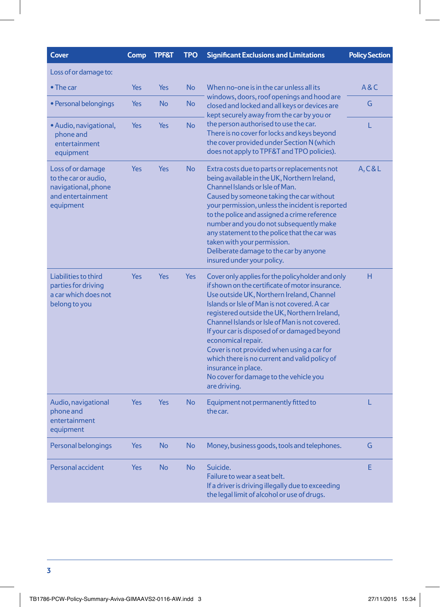| <b>Cover</b>                                                                                       | Comp       | <b>TPF&amp;T</b> | <b>TPO</b> | <b>Significant Exclusions and Limitations</b>                                                                                                                                                                                                                                                                                                                                                                                                                                                                                                            | <b>Policy Section</b> |
|----------------------------------------------------------------------------------------------------|------------|------------------|------------|----------------------------------------------------------------------------------------------------------------------------------------------------------------------------------------------------------------------------------------------------------------------------------------------------------------------------------------------------------------------------------------------------------------------------------------------------------------------------------------------------------------------------------------------------------|-----------------------|
| Loss of or damage to:                                                                              |            |                  |            |                                                                                                                                                                                                                                                                                                                                                                                                                                                                                                                                                          |                       |
| $\bullet$ The car                                                                                  | Yes        | Yes              | <b>No</b>  | When no-one is in the car unless all its<br>windows, doors, roof openings and hood are<br>closed and locked and all keys or devices are<br>kept securely away from the car by you or                                                                                                                                                                                                                                                                                                                                                                     | A & C                 |
| · Personal belongings                                                                              | <b>Yes</b> | <b>No</b>        | <b>No</b>  |                                                                                                                                                                                                                                                                                                                                                                                                                                                                                                                                                          | G                     |
| • Audio, navigational,<br>phone and<br>entertainment<br>equipment                                  | Yes        | <b>Yes</b>       | <b>No</b>  | the person authorised to use the car.<br>There is no cover for locks and keys beyond<br>the cover provided under Section N (which<br>does not apply to TPF&T and TPO policies).                                                                                                                                                                                                                                                                                                                                                                          | Ĺ                     |
| Loss of or damage<br>to the car or audio,<br>navigational, phone<br>and entertainment<br>equipment | Yes        | Yes              | <b>No</b>  | Extra costs due to parts or replacements not<br>being available in the UK, Northern Ireland,<br>Channel Islands or Isle of Man.<br>Caused by someone taking the car without<br>your permission, unless the incident is reported<br>to the police and assigned a crime reference<br>number and you do not subsequently make<br>any statement to the police that the car was<br>taken with your permission.<br>Deliberate damage to the car by anyone<br>insured under your policy.                                                                        | A, C & L              |
| Liabilities to third<br>parties for driving<br>a car which does not<br>belong to you               | Yes        | Yes              | <b>Yes</b> | Cover only applies for the policyholder and only<br>if shown on the certificate of motor insurance.<br>Use outside UK, Northern Ireland, Channel<br>Islands or Isle of Man is not covered. A car<br>registered outside the UK, Northern Ireland,<br>Channel Islands or Isle of Man is not covered.<br>If your car is disposed of or damaged beyond<br>economical repair.<br>Cover is not provided when using a car for<br>which there is no current and valid policy of<br>insurance in place.<br>No cover for damage to the vehicle you<br>are driving. | н                     |
| Audio, navigational<br>phone and<br>entertainment<br>equipment                                     | <b>Yes</b> | Yes              | <b>No</b>  | Equipment not permanently fitted to<br>the car.                                                                                                                                                                                                                                                                                                                                                                                                                                                                                                          | L                     |
| Personal belongings                                                                                | <b>Yes</b> | <b>No</b>        | No         | Money, business goods, tools and telephones.                                                                                                                                                                                                                                                                                                                                                                                                                                                                                                             | G                     |
| Personal accident                                                                                  | <b>Yes</b> | <b>No</b>        | <b>No</b>  | Suicide.<br>Failure to wear a seat belt.<br>If a driver is driving illegally due to exceeding<br>the legal limit of alcohol or use of drugs.                                                                                                                                                                                                                                                                                                                                                                                                             | E                     |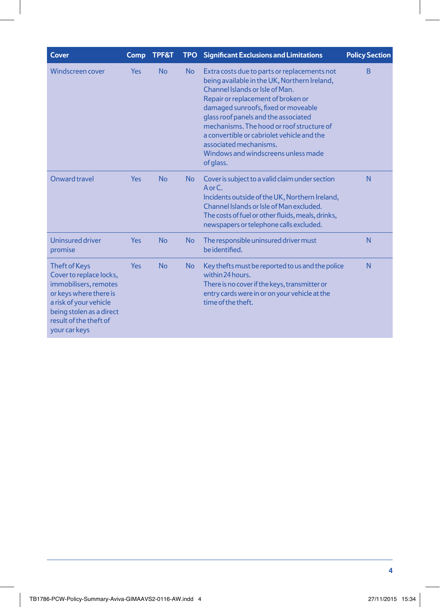| <b>Cover</b>                                                                                                                                                                                        | Comp       | <b>TPF&amp;T</b> |           | <b>TPO</b> Significant Exclusions and Limitations                                                                                                                                                                                                                                                                                                                                                                             | <b>Policy Section</b> |
|-----------------------------------------------------------------------------------------------------------------------------------------------------------------------------------------------------|------------|------------------|-----------|-------------------------------------------------------------------------------------------------------------------------------------------------------------------------------------------------------------------------------------------------------------------------------------------------------------------------------------------------------------------------------------------------------------------------------|-----------------------|
| <b>Windscreen cover</b>                                                                                                                                                                             | <b>Yes</b> | <b>No</b>        | <b>No</b> | Extra costs due to parts or replacements not<br>being available in the UK, Northern Ireland,<br>Channel Islands or Isle of Man.<br>Repair or replacement of broken or<br>damaged sunroofs, fixed or moveable<br>glass roof panels and the associated<br>mechanisms. The hood or roof structure of<br>a convertible or cabriolet vehicle and the<br>associated mechanisms.<br>Windows and windscreens unless made<br>of glass. | <sub>B</sub>          |
| Onward travel                                                                                                                                                                                       | <b>Yes</b> | <b>No</b>        | <b>No</b> | Cover is subject to a valid claim under section<br>$A$ or $C$ .<br>Incidents outside of the UK, Northern Ireland,<br>Channel Islands or Isle of Man excluded.<br>The costs of fuel or other fluids, meals, drinks,<br>newspapers or telephone calls excluded.                                                                                                                                                                 | N                     |
| <b>Uninsured driver</b><br>promise                                                                                                                                                                  | <b>Yes</b> | <b>No</b>        | <b>No</b> | The responsible uninsured driver must<br>be identified.                                                                                                                                                                                                                                                                                                                                                                       | N                     |
| <b>Theft of Keys</b><br>Cover to replace locks,<br>immobilisers, remotes<br>or keys where there is<br>a risk of your vehicle<br>being stolen as a direct<br>result of the theft of<br>your car keys | <b>Yes</b> | <b>No</b>        | <b>No</b> | Key thefts must be reported to us and the police<br>within 24 hours.<br>There is no cover if the keys, transmitter or<br>entry cards were in or on your vehicle at the<br>time of the theft.                                                                                                                                                                                                                                  | N                     |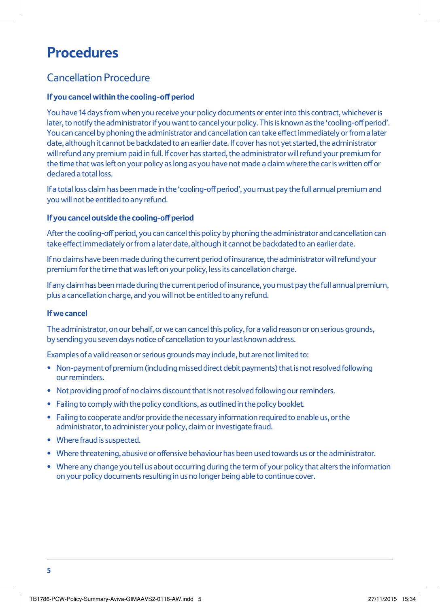# **Procedures**

# Cancellation Procedure

### **If you cancel within the cooling-off period**

You have 14 days from when you receive your policy documents or enter into this contract, whichever is later, to notify the administrator if you want to cancel your policy. This is known as the 'cooling-off period'. You can cancel by phoning the administrator and cancellation can take effect immediately or from a later date, although it cannot be backdated to an earlier date. If cover has not yet started, the administrator will refund any premium paid in full. If cover has started, the administrator will refund your premium for the time that was left on your policy as long as you have not made a claim where the car is written off or declared a total loss.

If a total loss claim has been made in the 'cooling-off period', you must pay the full annual premium and you will not be entitled to any refund.

#### **If you cancel outside the cooling-off period**

After the cooling-off period, you can cancel this policy by phoning the administrator and cancellation can take effect immediately or from a later date, although it cannot be backdated to an earlier date.

If no claims have been made during the current period of insurance, the administrator will refund your premium for the time that was left on your policy, less its cancellation charge.

If any claim has been made during the current period of insurance, you must pay the full annual premium, plus a cancellation charge, and you will not be entitled to any refund.

#### **If we cancel**

The administrator, on our behalf, or we can cancel this policy, for a valid reason or on serious grounds, by sending you seven days notice of cancellation to your last known address.

Examples of a valid reason or serious grounds may include, but are not limited to:

- Non-payment of premium (including missed direct debit payments) that is not resolved following our reminders.
- Not providing proof of no claims discount that is not resolved following our reminders.
- Failing to comply with the policy conditions, as outlined in the policy booklet.
- Failing to cooperate and/or provide the necessary information required to enable us, or the administrator, to administer your policy, claim or investigate fraud.
- Where fraud is suspected.
- Where threatening, abusive or offensive behaviour has been used towards us or the administrator.
- Where any change you tell us about occurring during the term of your policy that alters the information on your policy documents resulting in us no longer being able to continue cover.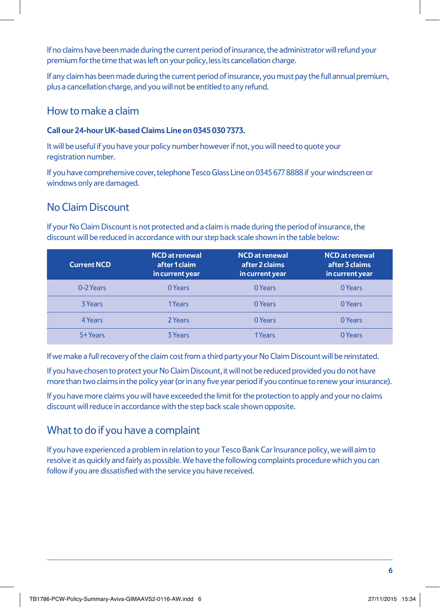If no claims have been made during the current period of insurance, the administrator will refund your premium for the time that was left on your policy, less its cancellation charge.

If any claim has been made during the current period of insurance, you must pay the full annual premium, plus a cancellation charge, and you will not be entitled to any refund.

### How to make a claim

### **Call our 24-hour UK-based Claims Line on 0345 030 7373.**

It will be useful if you have your policy number however if not, you will need to quote your registration number.

If you have comprehensive cover, telephone Tesco Glass Line on 0345 677 8888 if your windscreen or windows only are damaged.

### No Claim Discount

If your No Claim Discount is not protected and a claim is made during the period of insurance, the discount will be reduced in accordance with our step back scale shown in the table below:

| <b>Current NCD</b> | <b>NCD</b> at renewal<br>after 1 claim<br>in current year | <b>NCD</b> at renewal<br>after 2 claims<br>in current year | <b>NCD</b> at renewal<br>after 3 claims<br>in current year, |
|--------------------|-----------------------------------------------------------|------------------------------------------------------------|-------------------------------------------------------------|
| 0-2 Years          | 0 Years                                                   | 0 Years                                                    | 0 Years                                                     |
| <b>3 Years</b>     | 1Years                                                    | 0 Years                                                    | 0 Years                                                     |
| 4 Years            | 2 Years                                                   | 0 Years                                                    | 0 Years                                                     |
| 5+ Years           | <b>3 Years</b>                                            | 1Years                                                     | 0 Years                                                     |

If we make a full recovery of the claim cost from a third party your No Claim Discount will be reinstated.

If you have chosen to protect your No Claim Discount, it will not be reduced provided you do not have more than two claims in the policy year (or in any five year period if you continue to renew your insurance).

If you have more claims you will have exceeded the limit for the protection to apply and your no claims discount will reduce in accordance with the step back scale shown opposite.

# What to do if you have a complaint

If you have experienced a problem in relation to your Tesco Bank Car Insurance policy, we will aim to resolve it as quickly and fairly as possible. We have the following complaints procedure which you can follow if you are dissatisfied with the service you have received.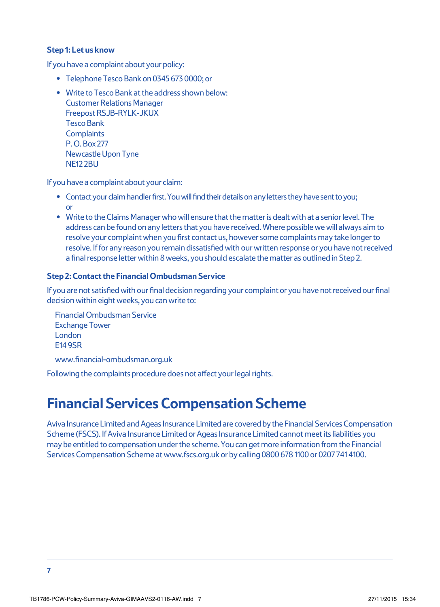#### **Step 1: Let us know**

If you have a complaint about your policy:

- Telephone Tesco Bank on 0345 673 0000; or
- Write to Tesco Bank at the address shown below: Customer Relations Manager Freepost RSJB-RYLK-JKUX Tesco Bank **Complaints** P. O. Box 277 Newcastle Upon Tyne NE12 2BU

If you have a complaint about your claim:

- Contact your claim handler first. You will find their details on any letters they have sent to you; or
- Write to the Claims Manager who will ensure that the matter is dealt with at a senior level. The address can be found on any letters that you have received. Where possible we will always aim to resolve your complaint when you first contact us, however some complaints may take longer to resolve. If for any reason you remain dissatisfied with our written response or you have not received a final response letter within 8 weeks, you should escalate the matter as outlined in Step 2.

### **Step 2: Contact the Financial Ombudsman Service**

If you are not satisfied with our final decision regarding your complaint or you have not received our final decision within eight weeks, you can write to:

Financial Ombudsman Service Exchange Tower London E14 9SR www.financial-ombudsman.org.uk

Following the complaints procedure does not affect your legal rights.

# **Financial Services Compensation Scheme**

Aviva Insurance Limited and Ageas Insurance Limited are covered by the Financial Services Compensation Scheme (FSCS). If Aviva Insurance Limited or Ageas Insurance Limited cannot meet its liabilities you may be entitled to compensation under the scheme. You can get more information from the Financial Services Compensation Scheme at www.fscs.org.uk or by calling 0800 678 1100 or 0207 741 4100.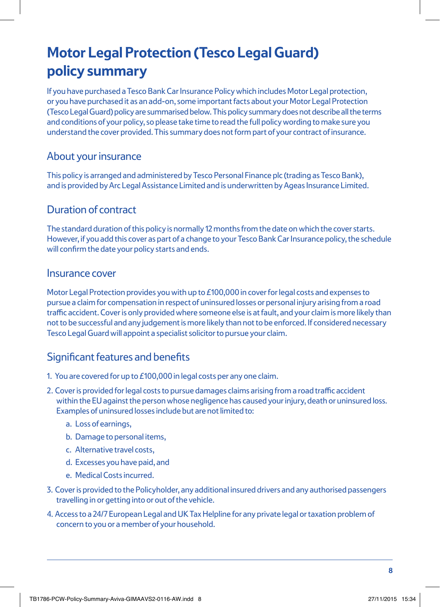# **Motor Legal Protection (Tesco Legal Guard) policy summary**

If you have purchased a Tesco Bank Car Insurance Policy which includes Motor Legal protection, or you have purchased it as an add-on, some important facts about your Motor Legal Protection (Tesco Legal Guard) policy are summarised below. This policy summary does not describe all the terms and conditions of your policy, so please take time to read the full policy wording to make sure you understand the cover provided. This summary does not form part of your contract of insurance.

### About your insurance

This policy is arranged and administered by Tesco Personal Finance plc (trading as Tesco Bank), and is provided by Arc Legal Assistance Limited and is underwritten by Ageas Insurance Limited.

### Duration of contract

The standard duration of this policy is normally 12 months from the date on which the cover starts. However, if you add this cover as part of a change to your Tesco Bank Car Insurance policy, the schedule will confirm the date your policy starts and ends.

### Insurance cover

Motor Legal Protection provides you with up to £100,000 in cover for legal costs and expenses to pursue a claim for compensation in respect of uninsured losses or personal injury arising from a road traffic accident. Cover is only provided where someone else is at fault, and your claim is more likely than not to be successful and any judgement is more likely than not to be enforced. If considered necessary Tesco Legal Guard will appoint a specialist solicitor to pursue your claim.

# Significant features and benefits

- 1. You are covered for up to £100,000 in legal costs per any one claim.
- 2. Cover is provided for legal costs to pursue damages claims arising from a road traffic accident within the EU against the person whose negligence has caused your injury, death or uninsured loss. Examples of uninsured losses include but are not limited to:
	- a. Loss of earnings,
	- b. Damage to personal items,
	- c. Alternative travel costs,
	- d. Excesses you have paid, and
	- e. Medical Costs incurred.
- 3. Cover is provided to the Policyholder, any additional insured drivers and any authorised passengers travelling in or getting into or out of the vehicle.
- 4. Access to a 24/7 European Legal and UK Tax Helpline for any private legal or taxation problem of concern to you or a member of your household.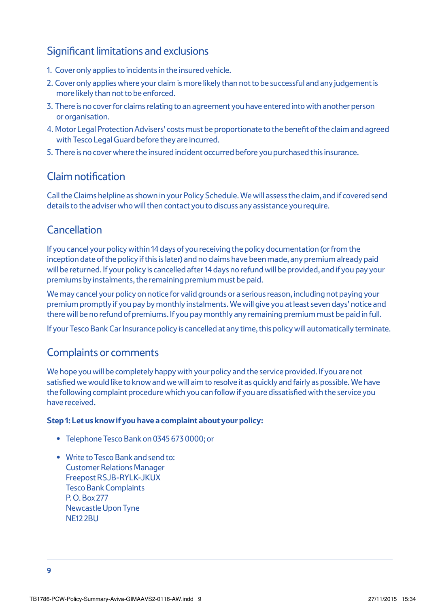### Significant limitations and exclusions

- 1. Cover only applies to incidents in the insured vehicle.
- 2. Cover only applies where your claim is more likely than not to be successful and any judgement is more likely than not to be enforced.
- 3. There is no cover for claims relating to an agreement you have entered into with another person or organisation.
- 4. Motor Legal Protection Advisers' costs must be proportionate to the benefit of the claim and agreed with Tesco Legal Guard before they are incurred.
- 5. There is no cover where the insured incident occurred before you purchased this insurance.

### Claim notification

Call the Claims helpline as shown in your Policy Schedule. We will assess the claim, and if covered send details to the adviser who will then contact you to discuss any assistance you require.

# **Cancellation**

If you cancel your policy within 14 days of you receiving the policy documentation (or from the inception date of the policy if this is later) and no claims have been made, any premium already paid will be returned. If your policy is cancelled after 14 days no refund will be provided, and if you pay your premiums by instalments, the remaining premium must be paid.

We may cancel your policy on notice for valid grounds or a serious reason, including not paying your premium promptly if you pay by monthly instalments. We will give you at least seven days' notice and there will be no refund of premiums. If you pay monthly any remaining premium must be paid in full.

If your Tesco Bank Car Insurance policy is cancelled at any time, this policy will automatically terminate.

### Complaints or comments

We hope you will be completely happy with your policy and the service provided. If you are not satisfied we would like to know and we will aim to resolve it as quickly and fairly as possible. We have the following complaint procedure which you can follow if you are dissatisfied with the service you have received.

### **Step 1: Let us know if you have a complaint about your policy:**

- Telephone Tesco Bank on 0345 673 0000; or
- Write to Tesco Bank and send to: Customer Relations Manager Freepost RSJB-RYLK-JKUX Tesco Bank Complaints P. O. Box 277 Newcastle Upon Tyne NF<sub>12</sub> 2BU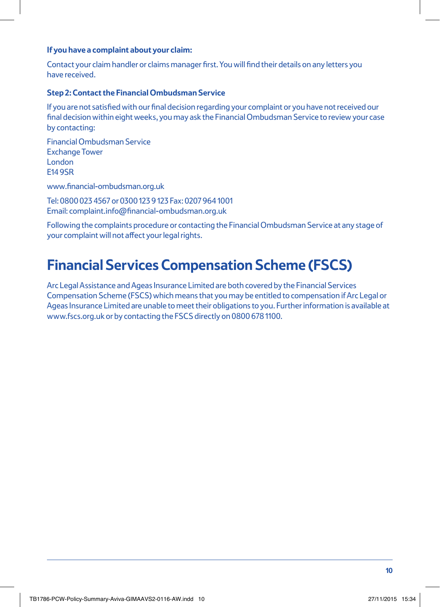#### **If you have a complaint about your claim:**

Contact your claim handler or claims manager first. You will find their details on any letters you have received.

#### **Step 2: Contact the Financial Ombudsman Service**

If you are not satisfied with our final decision regarding your complaint or you have not received our final decision within eight weeks, you may ask the Financial Ombudsman Service to review your case by contacting:

Financial Ombudsman Service Exchange Tower London E14 9SR

www.financial-ombudsman.org.uk

Tel: 0800 023 4567 or 0300 123 9 123 Fax: 0207 964 1001 Email: complaint.info@financial-ombudsman.org.uk

Following the complaints procedure or contacting the Financial Ombudsman Service at any stage of your complaint will not affect your legal rights.

# **Financial Services Compensation Scheme (FSCS)**

Arc Legal Assistance and Ageas Insurance Limited are both covered by the Financial Services Compensation Scheme (FSCS) which means that you may be entitled to compensation if Arc Legal or Ageas Insurance Limited are unable to meet their obligations to you. Further information is available at www.fscs.org.uk or by contacting the FSCS directly on 0800 678 1100.